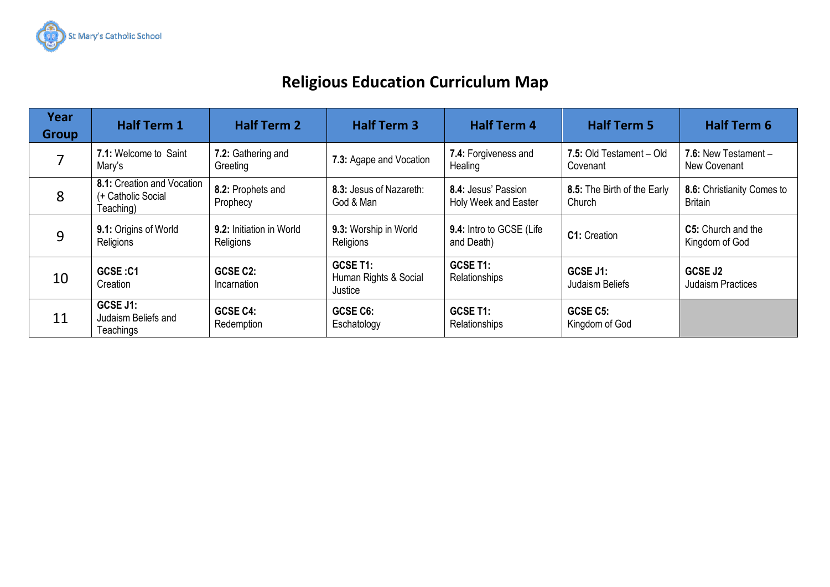

## **Religious Education Curriculum Map**

| Year<br><b>Group</b> | <b>Half Term 1</b>                                            | <b>Half Term 2</b>                           | <b>Half Term 3</b>                           | <b>Half Term 4</b>                          | <b>Half Term 5</b>                    | <b>Half Term 6</b>                           |
|----------------------|---------------------------------------------------------------|----------------------------------------------|----------------------------------------------|---------------------------------------------|---------------------------------------|----------------------------------------------|
|                      | 7.1: Welcome to Saint<br>Mary's                               | 7.2: Gathering and<br>Greeting               | 7.3: Agape and Vocation                      | 7.4: Forgiveness and<br>Healing             | 7.5: Old Testament - Old<br>Covenant  | 7.6: New Testament $-$<br>New Covenant       |
| 8                    | 8.1: Creation and Vocation<br>(+ Catholic Social<br>Teaching) | 8.2: Prophets and<br>Prophecy                | 8.3: Jesus of Nazareth:<br>God & Man         | 8.4: Jesus' Passion<br>Holy Week and Easter | 8.5: The Birth of the Early<br>Church | 8.6: Christianity Comes to<br><b>Britain</b> |
| 9                    | 9.1: Origins of World<br>Religions                            | <b>9.2:</b> Initiation in World<br>Religions | 9.3: Worship in World<br>Religions           | 9.4: Intro to GCSE (Life<br>and Death)      | C1: Creation                          | <b>C5:</b> Church and the<br>Kingdom of God  |
| 10                   | GCSE:C1<br>Creation                                           | GCSE C2:<br>Incarnation                      | GCSE T1:<br>Human Rights & Social<br>Justice | GCSE T1:<br>Relationships                   | GCSE J1:<br>Judaism Beliefs           | GCSE J2<br><b>Judaism Practices</b>          |
| 11                   | GCSE J1:<br>Judaism Beliefs and<br>Teachings                  | GCSE C4:<br>Redemption                       | GCSE C6:<br>Eschatology                      | GCSE T1:<br>Relationships                   | GCSE C5:<br>Kingdom of God            |                                              |